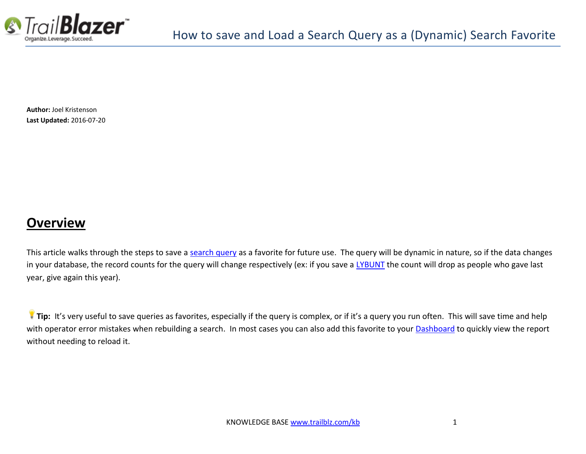

**Author:** Joel Kristenson **Last Updated:** 2016-07-20

## **Overview**

This article walks through the steps to save [a search query](https://www.youtube.com/watch?v=j_oxB4NGwD0) as a favorite for future use. The query will be dynamic in nature, so if the data changes in your database, the record counts for the query will change respectively (ex: if you save a [LYBUNT](http://www.trailblz.com/kb/?action=view&kb=195&cat=1) the count will drop as people who gave last year, give again this year).

**Tip:** It's very useful to save queries as favorites, especially if the query is complex, or if it's a query you run often. This will save time and help with operator error mistakes when rebuilding a search. In most cases you can also add this favorite to your **Dashboard** to quickly view the report without needing to reload it.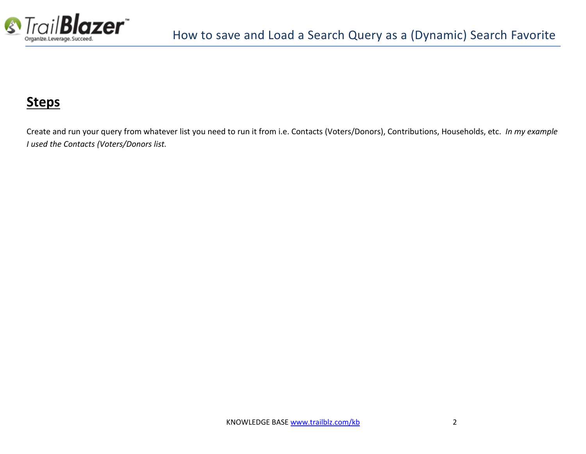

# **Steps**

Create and run your query from whatever list you need to run it from i.e. Contacts (Voters/Donors), Contributions, Households, etc. *In my example I used the Contacts (Voters/Donors list.*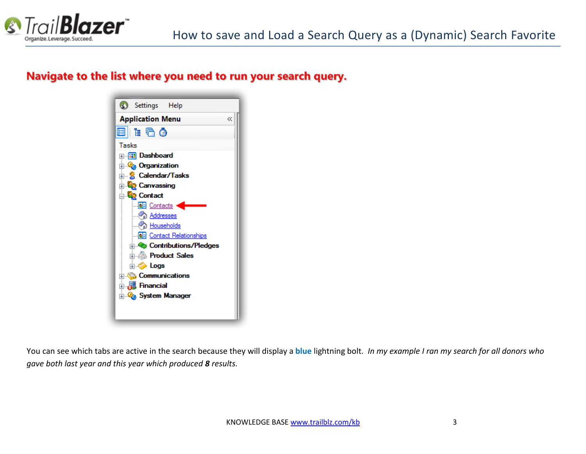

### Navigate to the list where you need to run your search query.



You can see which tabs are active in the search because they will display a **blue** lightning bolt. *In my example I ran my search for all donors who gave both last year and this year which produced 8 results.*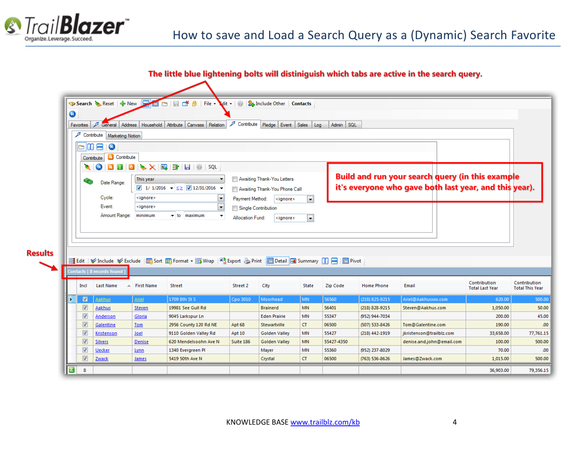

**Results** 

 $\boxed{2}$  8

#### The little blue lightening bolts will distiniguish which tabs are active in the search query.

|                         | <mark>⊙ Search ◆</mark> Reset   ← New |                        | 日づ<br>Ô<br>File $\star$<br>$\Box$                                                                                |                         | dit   8 Include Other   Contacts |                          |              |                   |                                                        |                        |                        |
|-------------------------|---------------------------------------|------------------------|------------------------------------------------------------------------------------------------------------------|-------------------------|----------------------------------|--------------------------|--------------|-------------------|--------------------------------------------------------|------------------------|------------------------|
| 0                       |                                       |                        |                                                                                                                  |                         |                                  |                          |              |                   |                                                        |                        |                        |
| Favorites               | Address<br>General                    |                        | Household   Attribute   Canvass   Relation                                                                       |                         | Contribute Pledge Event Sales    | Log                      | SQL<br>Admin |                   |                                                        |                        |                        |
| ℱ                       |                                       |                        |                                                                                                                  |                         |                                  |                          |              |                   |                                                        |                        |                        |
|                         | Contribute   Marketing Notion         |                        |                                                                                                                  |                         |                                  |                          |              |                   |                                                        |                        |                        |
| Ò                       | $\blacksquare$                        |                        |                                                                                                                  |                         |                                  |                          |              |                   |                                                        |                        |                        |
|                         | & Contribute<br>Contribute            |                        |                                                                                                                  |                         |                                  |                          |              |                   |                                                        |                        |                        |
| ×                       | $\omega$                              |                        | <b>8 0 8 &gt; X 6 2 5 8 0 1 3 QL</b>                                                                             |                         |                                  |                          |              |                   |                                                        |                        |                        |
|                         |                                       | This year              | $\blacktriangledown$                                                                                             |                         | Awaiting Thank-You Letters       |                          |              |                   | Build and run your search query (in this example       |                        |                        |
|                         | Date Range:                           |                        | 1/ 1/2016 $\sqrt{\leq}$ 12/31/2016 $\sqrt{\leq}$                                                                 |                         | Awaiting Thank-You Phone Call    |                          |              |                   | it's everyone who gave both last year, and this year). |                        |                        |
|                         | Cycle:                                | <ignore></ignore>      | $\blacksquare$                                                                                                   | Payment Method:         | $ $ <ignore></ignore>            | $\overline{\phantom{a}}$ |              |                   |                                                        |                        |                        |
|                         | Event:                                | <ignore></ignore>      | $\blacksquare$                                                                                                   | Single Contribution     |                                  |                          |              |                   |                                                        |                        |                        |
|                         | Amount Range:                         | minimum                | $\div$ to<br>maximum<br>$\overline{\phantom{a}}$                                                                 |                         |                                  |                          |              |                   |                                                        |                        |                        |
|                         |                                       |                        |                                                                                                                  | <b>Allocation Fund:</b> | $ $ <ignore></ignore>            | $\vert \mathbf{v} \vert$ |              |                   |                                                        |                        |                        |
|                         |                                       |                        |                                                                                                                  |                         |                                  |                          |              |                   |                                                        |                        |                        |
|                         |                                       |                        |                                                                                                                  |                         |                                  |                          |              |                   |                                                        |                        |                        |
|                         |                                       |                        |                                                                                                                  |                         |                                  |                          |              |                   |                                                        |                        |                        |
|                         |                                       |                        |                                                                                                                  |                         |                                  |                          |              |                   |                                                        |                        |                        |
|                         |                                       |                        | 들 Edit   Vinclude V Exclude  田 Sort 田 Format ▼ m Wrap   『홍Export & Print   ■ Detail  ■ Summary       -   ■ Pivot |                         |                                  |                          |              |                   |                                                        |                        |                        |
|                         | Contacts [ 8 records found ]          |                        |                                                                                                                  |                         |                                  |                          |              |                   |                                                        |                        |                        |
| Incl                    | <b>Last Name</b>                      | $\triangle$ First Name | <b>Street</b>                                                                                                    | Street 2                | City                             | State                    | Zip Code     | <b>Home Phone</b> | Email                                                  | Contribution           | Contribution           |
|                         |                                       |                        |                                                                                                                  |                         |                                  |                          |              |                   |                                                        | <b>Total Last Year</b> | <b>Total This Year</b> |
| $\blacksquare$          | Aakhus                                | <b>Ariel</b>           | 1709 8th St S                                                                                                    | Cpo 3010                | Moorhead                         | <b>MN</b>                | 56560        | (218) 825-9215    | Ariel@Aakhusxxx.com                                    | 620.00                 | 500.00                 |
| $\overline{\mathbf{v}}$ | Aakhus                                | <b>Steven</b>          | 19981 See Gull Rd                                                                                                |                         | <b>Brainerd</b>                  | <b>MN</b>                | 56401        | (218) 828-9215    | Steven@Aakhus.com                                      | 1,050.00               | 50.00                  |
| $\overline{\mathsf{v}}$ | Anderson                              | Gloria                 | 9045 Larkspur Ln                                                                                                 |                         | <b>Eden Prairie</b>              | <b>MN</b>                | 55347        | (952) 944-7034    |                                                        | 200.00                 | 45.00                  |
| $\overline{\mathbf{v}}$ | Galentine                             | <b>Tom</b>             | 2956 County 120 Rd NE                                                                                            | Apt 68                  | Stewartville                     | <b>CT</b>                | 06500        | (507) 533-8426    | Tom@Galentine.com                                      | 190.00                 | .00                    |
| $\overline{\mathsf{v}}$ | Kristenson                            | Joel                   | 9110 Golden Valley Rd                                                                                            | Apt 10                  | <b>Golden Valley</b>             | <b>MN</b>                | 55427        | (218) 442-1919    | jkristenson@trailblz.com                               | 33,658.00              | 77,761.15              |
| $\overline{\mathbf{v}}$ | <b>Silvers</b>                        | Denise                 | 620 Mendelsoohn Ave N                                                                                            | Suite 186               | <b>Golden Valley</b>             | <b>MN</b>                | 55427-4350   |                   | denise.and.john@email.com                              | 100.00                 | 500.00                 |
| $\overline{\mathsf{v}}$ | <b>Uecker</b>                         | Lynn                   | 1340 Evergreen PI                                                                                                |                         | Mayer                            | <b>MN</b>                | 55360        | (952) 237-8029    |                                                        | 70.00                  | .00 <sub>1</sub>       |
| $\overline{\mathbf{v}}$ | Zwack                                 | <u>James</u>           | 5419 50th Ave N                                                                                                  |                         | Crystal                          | <b>CT</b>                | 06500        | (763) 536-8626    | James@Zwack.com                                        | 1,015.00               | 500.00                 |

36,903.00

79,356.15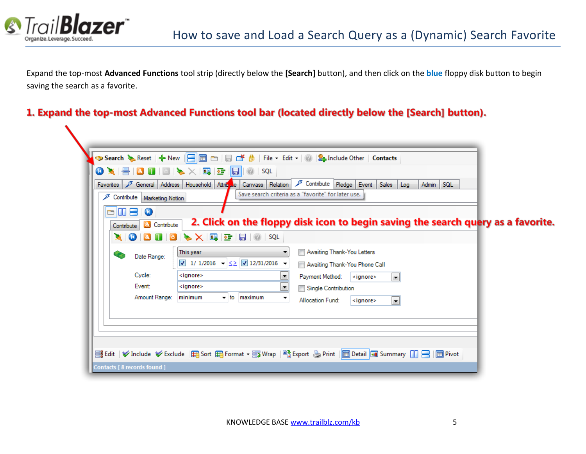

Expand the top-most **Advanced Functions** tool strip (directly below the **[Search]** button), and then click on the **blue** floppy disk button to begin saving the search as a favorite.

#### 1. Expand the top-most Advanced Functions tool bar (located directly below the [Search] button).

| <b>OX</b><br><b>Favorites</b><br>Contribute   Marketing Notion | General Address Household Attricule Canvass Relation                                                                                                                            | Contribute Pledge Event Sales<br>Admin SQL<br>Log<br>Save search criteria as a "favorite" for later use.                                                                                                                               |  |
|----------------------------------------------------------------|---------------------------------------------------------------------------------------------------------------------------------------------------------------------------------|----------------------------------------------------------------------------------------------------------------------------------------------------------------------------------------------------------------------------------------|--|
| $\circ$ 0 8 0<br>& Contribute<br>Contribute                    | ▓▏ <mark>◎▏◙▐▌▎</mark> ◙▕▓▖▓░▏█▌▛▆▏▎▒▏▏\$QL                                                                                                                                     | 2. Click on the floppy disk icon to begin saving the search query as a favorite.                                                                                                                                                       |  |
| Date Range:<br>Cycle:<br>Event:<br>Amount Range:               | This year<br>1/ 1/2016 $\bullet \leq \times$ 12/31/2016 $\bullet$<br><ignore><br/><ignore><br/>minimum<br/><math>\overline{\phantom{0}}</math> to<br/>maximum</ignore></ignore> | Awaiting Thank-You Letters<br>Awaiting Thank-You Phone Call<br>Payment Method:<br><ignore><br/><math>\left  \cdot \right </math><br/>×<br/>Single Contribution<br/>▼<br/><b>Allocation Fund:</b><br/><ignore><br/>×.</ignore></ignore> |  |
|                                                                |                                                                                                                                                                                 |                                                                                                                                                                                                                                        |  |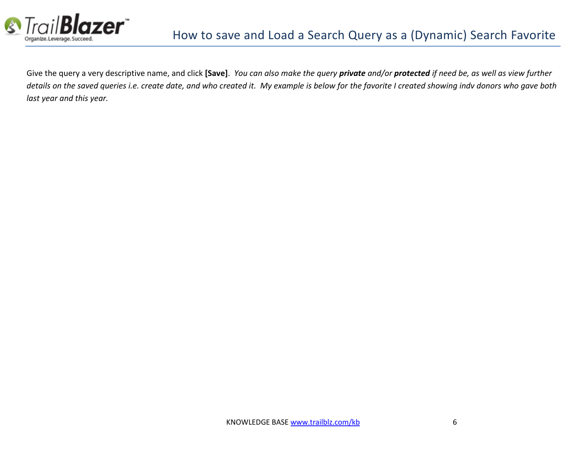

Give the query a very descriptive name, and click **[Save]**. *You can also make the query private and/or protected if need be, as well as view further*  details on the saved queries i.e. create date, and who created it. My example is below for the favorite I created showing indv donors who gave both *last year and this year.*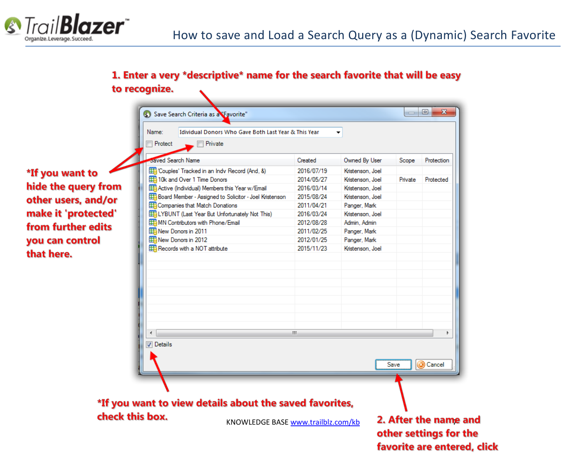

### 1. Enter a very \*descriptive\* name for the search favorite that will be easy to recognize.

Name: **Idividual Donors Who Gave Both Last Year & This Year**  $\blacktriangledown$ **Protect**  $\blacksquare$  Private **Saved Search Name** Created Owned By User [Couples' Tracked in an Indv Record (And, &) 2016/07/19 \*If you want to Kristenson, Joel 10k and Over 1 Time Donors 2014/05/27 Kristenson, Joel hide the query from Active (Individual) Members this Year w/Email 2016/03/14 Kristenson, Joel Board Member - Assigned to Solicitor - Joel Kristenson 2015/08/24 Kristenson, Joel other users, and/or **ED** Companies that Match Donations 2011/04/21 Panger, Mark make it 'protected' **ED LYBUNT** (Last Year But Unfortunately Not This) 2016/03/24 Kristenson, Joel MN Contributors with Phone/Email 2012/08/28 Admin Admin from further edits New Donors in 2011 2011/02/25 Panger, Mark you can control Filew Donors in 2012 2012/01/25 Panger, Mark Records with a NOT attribute 2015/11/23 Kristenson, Joel that here.  $\leftarrow$ Ш **Details** 

Save Search Criteria as a Favorite"

# \*If you want to view details about the saved favorites, check this box.

KNOWLEDGE BAS[E www.trailblz.com/kb](http://www.trailblz.com/kb) 2. After the name and other settings for the favorite are entered, click

**a** Cancel

 $\begin{array}{c|c|c|c|c|c} \hline \multicolumn{3}{c|}{-x} & \multicolumn{3}{c|}{-x} \\\hline \multicolumn{3}{c|}{-x} & \multicolumn{3}{c|}{-x} \\\hline \multicolumn{3}{c|}{-x} & \multicolumn{3}{c|}{-x} \\\hline \multicolumn{3}{c|}{-x} & \multicolumn{3}{c|}{-x} \\\hline \multicolumn{3}{c|}{-x} & \multicolumn{3}{c|}{-x} \\\hline \multicolumn{3}{c|}{-x} & \multicolumn{3}{c|}{-x} \\\hline \multicolumn{3}{c|}{-x} &$ 

Protection

Protected

Scope

Private

Save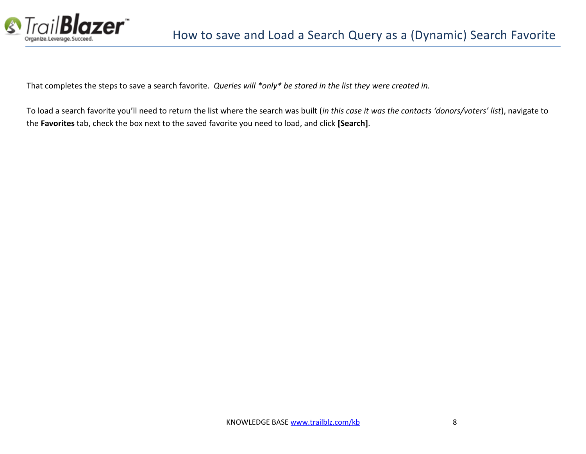

That completes the steps to save a search favorite. *Queries will \*only\* be stored in the list they were created in.*

To load a search favorite you'll need to return the list where the search was built (*in this case it was the contacts 'donors/voters' list*), navigate to the **Favorites** tab, check the box next to the saved favorite you need to load, and click **[Search]**.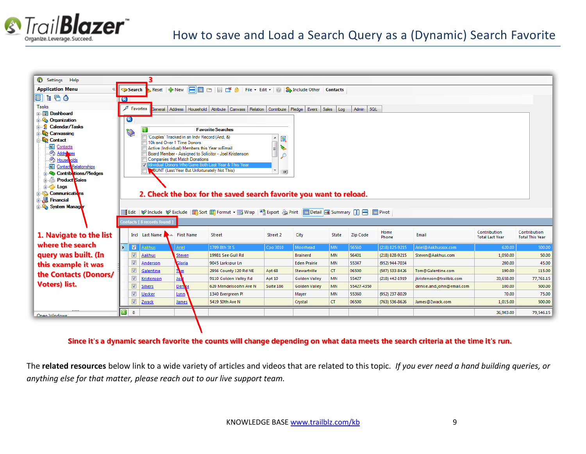



Since it's a dynamic search favorite the counts will change depending on what data meets the search criteria at the time it's run.

The **related resources** below link to a wide variety of articles and videos that are related to this topic. *If you ever need a hand building queries, or anything else for that matter, please reach out to our live support team.*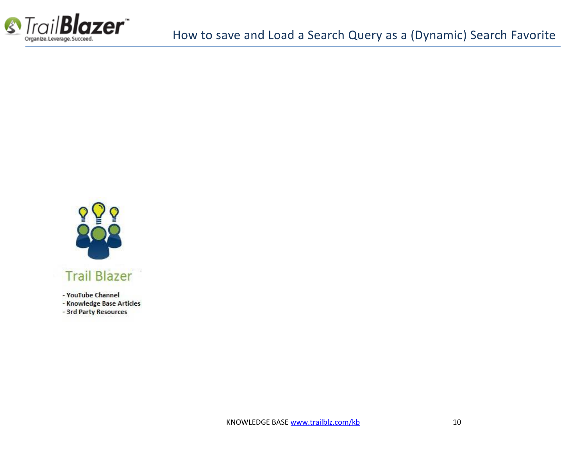



- YouTube Channel
- Knowledge Base Articles
- 3rd Party Resources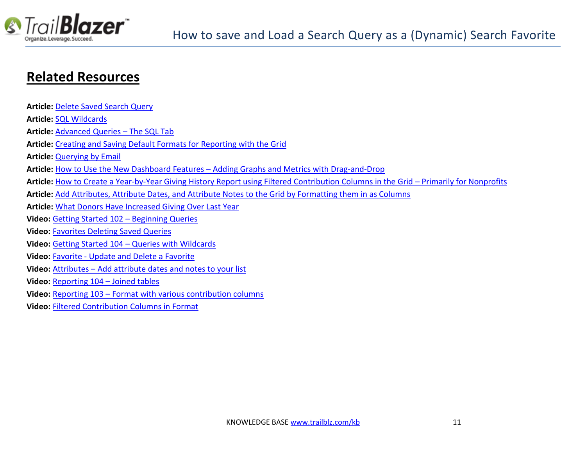

## **Related Resources**

| <b>Article: Delete Saved Search Query</b>                                                                                              |
|----------------------------------------------------------------------------------------------------------------------------------------|
| <b>Article: SQL Wildcards</b>                                                                                                          |
| Article: Advanced Queries - The SQL Tab                                                                                                |
| <b>Article:</b> Creating and Saving Default Formats for Reporting with the Grid                                                        |
| <b>Article: Querying by Email</b>                                                                                                      |
| Article: How to Use the New Dashboard Features – Adding Graphs and Metrics with Drag-and-Drop                                          |
| Article: How to Create a Year-by-Year Giving History Report using Filtered Contribution Columns in the Grid – Primarily for Nonprofits |
| Article: Add Attributes, Attribute Dates, and Attribute Notes to the Grid by Formatting them in as Columns                             |
| Article: What Donors Have Increased Giving Over Last Year                                                                              |
| Video: Getting Started 102 - Beginning Queries                                                                                         |
| <b>Video: Favorites Deleting Saved Queries</b>                                                                                         |
| Video: Getting Started 104 - Queries with Wildcards                                                                                    |
| Video: Favorite - Update and Delete a Favorite                                                                                         |
| Video: Attributes - Add attribute dates and notes to your list                                                                         |
| Video: Reporting 104 - Joined tables                                                                                                   |
| Video: Reporting 103 - Format with various contribution columns                                                                        |
| <b>Video: Filtered Contribution Columns in Format</b>                                                                                  |